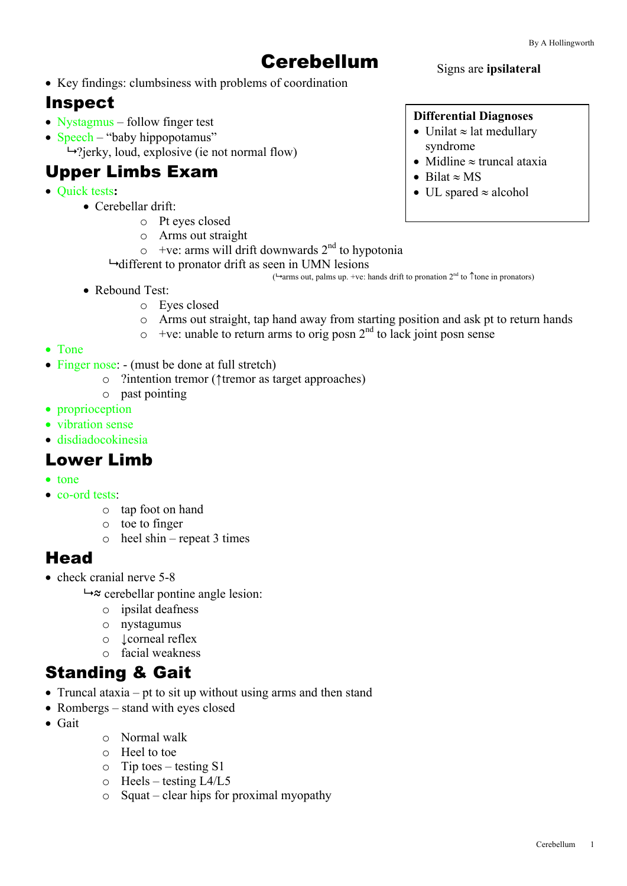# Cerebellum

#### • Key findings: clumbsiness with problems of coordination

### Inspect

- Nystagmus follow finger test
- Speech "baby hippopotamus"

 $\rightarrow$ ?jerky, loud, explosive (ie not normal flow)

### Upper Limbs Exam

- Quick tests**:**
	- Cerebellar drift:
		- o Pt eyes closed
		- o Arms out straight
		- $\circ$  +ve: arms will drift downwards  $2<sup>nd</sup>$  to hypotonia
		- $\rightarrow$  different to pronator drift as seen in UMN lesions ( $\rightarrow$ arms out, palms up. +ve: hands drift to pronation 2<sup>nd</sup> to  $\uparrow$  tone in pronators)
	- Rebound Test:
		- o Eyes closed
		- o Arms out straight, tap hand away from starting position and ask pt to return hands
		- $\sim$  +ve: unable to return arms to orig posn 2<sup>nd</sup> to lack joint posn sense
- Tone
- Finger nose: (must be done at full stretch)
	- o ?intention tremor (↑tremor as target approaches)
	- o past pointing
- proprioception
- vibration sense
- disdiadocokinesia

### Lower Limb

- tone
- co-ord tests:
	- o tap foot on hand
	- o toe to finger
	- $\circ$  heel shin repeat 3 times

### **Head**

- check cranial nerve 5-8
	- $\rightarrow \infty$  cerebellar pontine angle lesion:
		- o ipsilat deafness
		- o nystagumus
		- o ↓corneal reflex
		- o facial weakness

### Standing & Gait

- Truncal ataxia pt to sit up without using arms and then stand
- Rombergs stand with eyes closed
- Gait
- o Normal walk
- o Heel to toe
- $\circ$  Tip toes testing S1
- o Heels testing L4/L5
- o Squat clear hips for proximal myopathy

#### **Differential Diagnoses**

Signs are **ipsilateral**

- Unilat  $\approx$  lat medullary syndrome
- Midline  $\approx$  truncal ataxia
- Bilat  $\approx MS$
- UL spared  $\approx$  alcohol